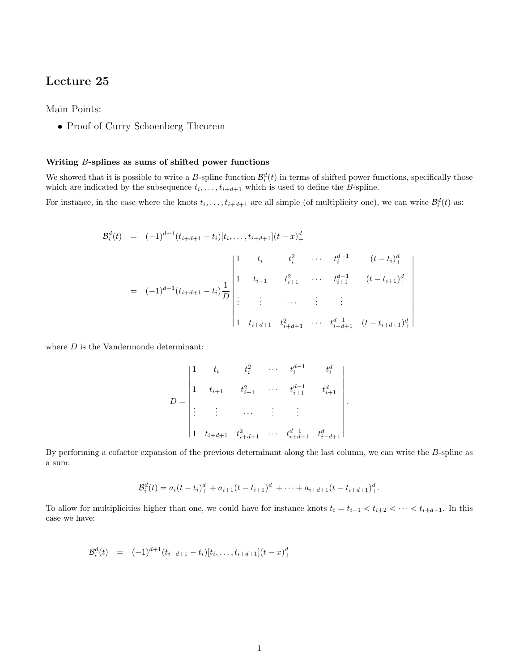# Lecture 25

Main Points:

• Proof of Curry Schoenberg Theorem

## Writing B-splines as sums of shifted power functions

We showed that it is possible to write a B-spline function  $\mathcal{B}_i^d(t)$  in terms of shifted power functions, specifically those which are indicated by the subsequence  $t_i, \ldots, t_{i+d+1}$  which is used to define the *B*-spline.

For instance, in the case where the knots  $t_i, \ldots, t_{i+d+1}$  are all simple (of multiplicity one), we can write  $\mathcal{B}_i^d(t)$  as:

$$
\mathcal{B}_i^d(t) = (-1)^{d+1} (t_{i+d+1} - t_i) [t_i, \dots, t_{i+d+1}] (t - x)_+^d
$$
\n
$$
= (-1)^{d+1} (t_{i+d+1} - t_i) \frac{1}{D} \begin{vmatrix} 1 & t_i & t_i^2 & \cdots & t_i^{d-1} & (t - t_i)_+^d \\ 1 & t_{i+1} & t_{i+1}^2 & \cdots & t_{i+1}^{d-1} & (t - t_{i+1})_+^d \\ \vdots & \vdots & \ddots & \vdots & \vdots \\ 1 & t_{i+d+1} & t_{i+d+1}^2 & \cdots & t_{i+d+1}^{d-1} & (t - t_{i+d+1})_+^d \end{vmatrix}
$$

where  $D$  is the Vandermonde determinant:

$$
D = \begin{vmatrix} 1 & t_i & t_i^2 & \cdots & t_i^{d-1} & t_i^d \\ 1 & t_{i+1} & t_{i+1}^2 & \cdots & t_{i+1}^{d-1} & t_{i+1}^d \\ \vdots & \vdots & \cdots & \vdots & \vdots & \vdots \\ 1 & t_{i+d+1} & t_{i+d+1}^2 & \cdots & t_{i+d+1}^{d-1} & t_{i+d+1}^d \end{vmatrix}.
$$

By performing a cofactor expansion of the previous determinant along the last column, we can write the B-spline as a sum:

$$
\mathcal{B}_i^d(t) = a_i(t-t_i)_+^d + a_{i+1}(t-t_{i+1})_+^d + \cdots + a_{i+d+1}(t-t_{i+d+1})_+^d.
$$

To allow for multiplicities higher than one, we could have for instance knots  $t_i = t_{i+1} < t_{i+2} < \cdots < t_{i+d+1}$ . In this case we have:

$$
\mathcal{B}_i^d(t) = (-1)^{d+1} (t_{i+d+1} - t_i)[t_i, \dots, t_{i+d+1}](t-x)_+^d
$$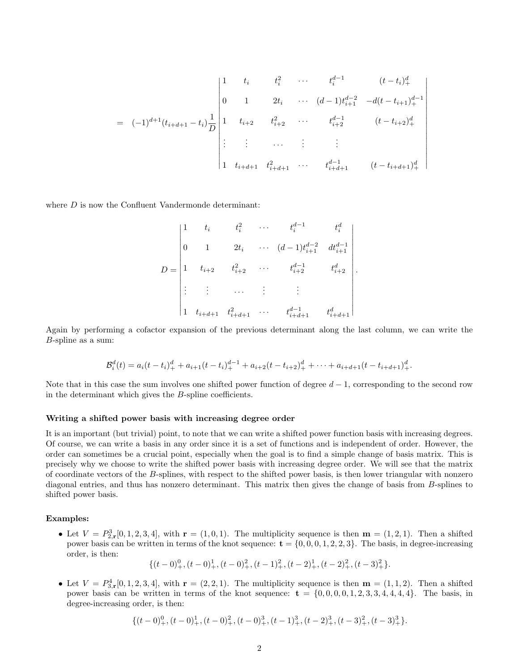= (−1)d+1(ti+d+1 − ti) 1 D 1 t<sup>i</sup> t 2 i · · · t d−1 i (t − ti) d + 0 1 2t<sup>i</sup> · · · (d − 1)t d−2 <sup>i</sup>+1 −d(t − ti+1) d−1 + 1 ti+2 t 2 <sup>i</sup>+2 · · · t d−1 <sup>i</sup>+2 (t − ti+2) d + . . . . . . · · · . . . . . . 1 ti+d+1 t 2 <sup>i</sup>+d+1 · · · t d−1 <sup>i</sup>+d+1 (t − ti+d+1) d + 

where  $D$  is now the Confluent Vandermonde determinant:

D = 1 t<sup>i</sup> t 2 i · · · t d−1 i t d i 0 1 2t<sup>i</sup> · · · (d − 1)t d−2 <sup>i</sup>+1 dtd−<sup>1</sup> i+1 1 ti+2 t 2 <sup>i</sup>+2 · · · t d−1 <sup>i</sup>+2 t d i+2 . . . . . . · · · . . . . . . 1 ti+d+1 t 2 <sup>i</sup>+d+1 · · · t d−1 <sup>i</sup>+d+1 t d i+d+1 

.

Again by performing a cofactor expansion of the previous determinant along the last column, we can write the B-spline as a sum:

$$
\mathcal{B}_i^d(t) = a_i(t - t_i)^d + a_{i+1}(t - t_i)^{d-1} + a_{i+2}(t - t_{i+2})^d + \cdots + a_{i+d+1}(t - t_{i+d+1})^d.
$$

Note that in this case the sum involves one shifted power function of degree  $d-1$ , corresponding to the second row in the determinant which gives the B-spline coefficients.

#### Writing a shifted power basis with increasing degree order

It is an important (but trivial) point, to note that we can write a shifted power function basis with increasing degrees. Of course, we can write a basis in any order since it is a set of functions and is independent of order. However, the order can sometimes be a crucial point, especially when the goal is to find a simple change of basis matrix. This is precisely why we choose to write the shifted power basis with increasing degree order. We will see that the matrix of coordinate vectors of the B-splines, with respect to the shifted power basis, is then lower triangular with nonzero diagonal entries, and thus has nonzero determinant. This matrix then gives the change of basis from B-splines to shifted power basis.

## Examples:

• Let  $V = P_{2,\mathbf{r}}^3[0,1,2,3,4]$ , with  $\mathbf{r} = (1,0,1)$ . The multiplicity sequence is then  $\mathbf{m} = (1,2,1)$ . Then a shifted power basis can be written in terms of the knot sequence:  $\mathbf{t} = \{0, 0, 0, 1, 2, 2, 3\}$ . The basis, in degree-increasing order, is then:

$$
\{(t-0)_+^0, (t-0)_+^1, (t-0)_+^2, (t-1)_+^2, (t-2)_+^1, (t-2)_+^2, (t-3)_+^2\}.
$$

• Let  $V = P_{3,\mathbf{r}}^4[0,1,2,3,4]$ , with  $\mathbf{r} = (2,2,1)$ . The multiplicity sequence is then  $\mathbf{m} = (1,1,2)$ . Then a shifted power basis can be written in terms of the knot sequence:  $\mathbf{t} = \{0,0,0,0,1,2,3,3,4,4,4,4\}$ . The basis, in degree-increasing order, is then:

$$
\{(t-0)_+^0,(t-0)_+^1,(t-0)_+^2,(t-0)_+^3,(t-1)_+^3,(t-2)_+^3,(t-3)_+^2,(t-3)_+^3\}.
$$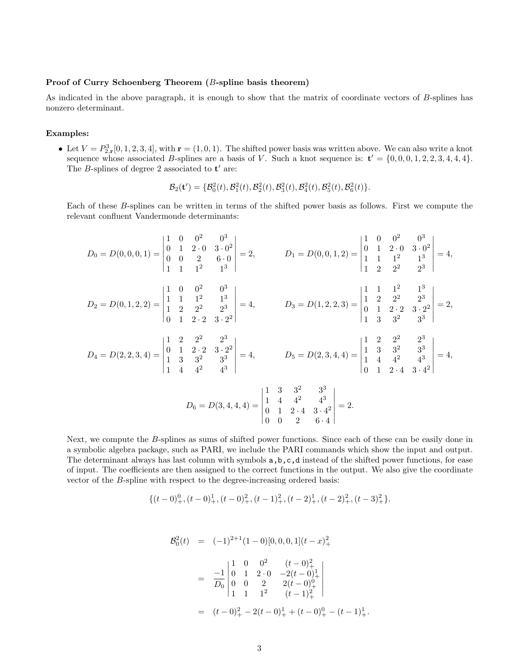#### Proof of Curry Schoenberg Theorem (B-spline basis theorem)

As indicated in the above paragraph, it is enough to show that the matrix of coordinate vectors of B-splines has nonzero determinant.

#### Examples:

• Let  $V = P_{2,\mathbf{r}}^3[0,1,2,3,4]$ , with  $\mathbf{r} = (1,0,1)$ . The shifted power basis was written above. We can also write a knot sequence whose associated B-splines are a basis of V. Such a knot sequence is:  $t' = \{0, 0, 0, 1, 2, 2, 3, 4, 4, 4\}.$ The  $B$ -splines of degree 2 associated to  $t'$  are:

$$
\mathcal{B}_2(\mathbf{t}') = \{ \mathcal{B}_0^2(t), \mathcal{B}_1^2(t), \mathcal{B}_2^2(t), \mathcal{B}_3^2(t), \mathcal{B}_4^2(t), \mathcal{B}_5^2(t), \mathcal{B}_6^2(t) \}.
$$

Each of these B-splines can be written in terms of the shifted power basis as follows. First we compute the relevant confluent Vandermonde determinants:

$$
D_0 = D(0,0,0,1) = \begin{vmatrix} 1 & 0 & 0^2 & 0^3 \\ 0 & 1 & 2 \cdot 0 & 3 \cdot 0^2 \\ 0 & 0 & 2 & 6 \cdot 0 \\ 1 & 1 & 1^2 & 1^3 \end{vmatrix} = 2, \qquad D_1 = D(0,0,1,2) = \begin{vmatrix} 1 & 0 & 0^2 & 0^3 \\ 0 & 1 & 2 \cdot 0 & 3 \cdot 0^2 \\ 1 & 1 & 1^2 & 1^3 \\ 1 & 2 & 2^2 & 2^3 \end{vmatrix} = 4,
$$
  
\n
$$
D_2 = D(0,1,2,2) = \begin{vmatrix} 1 & 0 & 0^2 & 0^3 \\ 1 & 1 & 1^2 & 1^3 \\ 1 & 2 & 2^2 & 2^3 \\ 0 & 1 & 2 \cdot 2 & 3 \cdot 2^2 \end{vmatrix} = 4, \qquad D_3 = D(1,2,2,3) = \begin{vmatrix} 1 & 1 & 1^2 & 1^3 \\ 1 & 2 & 2^2 & 2^3 \\ 0 & 1 & 2 \cdot 2 & 3 \cdot 2^2 \\ 1 & 3 & 3^2 & 3^3 \end{vmatrix} = 2,
$$
  
\n
$$
D_4 = D(2,2,3,4) = \begin{vmatrix} 1 & 2 & 2^2 & 2^3 \\ 0 & 1 & 2 \cdot 2 & 3 \cdot 2^2 \\ 1 & 3 & 3^2 & 3^3 \\ 1 & 4 & 4^2 & 4^3 \end{vmatrix} = 4, \qquad D_5 = D(2,3,4,4) = \begin{vmatrix} 1 & 2 & 2^2 & 2^3 \\ 1 & 3 & 3^2 & 3^3 \\ 1 & 4 & 4^2 & 4^3 \\ 0 & 1 & 2 \cdot 4 & 3 \cdot 4^2 \end{vmatrix} = 4,
$$

$$
D_6 = D(3, 4, 4, 4) = \begin{vmatrix} 1 & 3 & 3^2 & 3^3 \\ 1 & 4 & 4^2 & 4^3 \\ 0 & 1 & 2 \cdot 4 & 3 \cdot 4^2 \\ 0 & 0 & 2 & 6 \cdot 4 \end{vmatrix} = 2.
$$

Next, we compute the B-splines as sums of shifted power functions. Since each of these can be easily done in a symbolic algebra package, such as PARI, we include the PARI commands which show the input and output. The determinant always has last column with symbols a,b,c,d instead of the shifted power functions, for ease of input. The coefficients are then assigned to the correct functions in the output. We also give the coordinate vector of the B-spline with respect to the degree-increasing ordered basis:

$$
\{(t-0)_+^0,(t-0)_+^1,(t-0)_+^2,(t-1)_+^2,(t-2)_+^1,(t-2)_+^2,(t-3)_+^2\}.
$$

$$
\mathcal{B}_0^2(t) = (-1)^{2+1} (1-0) [0, 0, 0, 1] (t-x)_+^2
$$
  
=  $\frac{-1}{D_0} \begin{vmatrix} 1 & 0 & 0^2 & (t-0)_+^2 \\ 0 & 1 & 2 \cdot 0 & -2(t-0)_+^1 \\ 0 & 0 & 2 & 2(t-0)_+^0 \\ 1 & 1 & 1^2 & (t-1)_+^2 \end{vmatrix}$   
=  $(t-0)_+^2 - 2(t-0)_+^1 + (t-0)_+^0 - (t-1)_+^1.$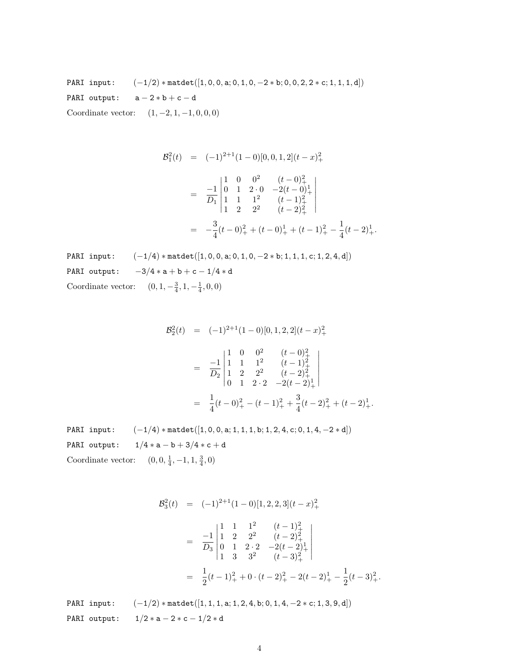PARI input:  $(-1/2) * \text{match}([1, 0, 0, a; 0, 1, 0, -2 * b; 0, 0, 2, 2 * c; 1, 1, 1, d])$ PARI output:  $a - 2 * b + c - d$ Coordinate vector:  $(1, -2, 1, -1, 0, 0, 0)$ 

$$
\mathcal{B}_1^2(t) = (-1)^{2+1} (1-0) [0, 0, 1, 2] (t-x)_+^2
$$
  
=  $\frac{-1}{D_1} \begin{vmatrix} 1 & 0 & 0^2 & (t-0)_+^2 \\ 0 & 1 & 2 \cdot 0 & -2(t-0)_+^1 \\ 1 & 1 & 1^2 & (t-1)_+^2 \\ 1 & 2 & 2^2 & (t-2)_+^2 \end{vmatrix}$   
=  $-\frac{3}{4} (t-0)_+^2 + (t-0)_+^1 + (t-1)_+^2 - \frac{1}{4} (t-2)_+^1.$ 

PARI input:  $(-1/4) *$ matdet $([1, 0, 0, a; 0, 1, 0, -2 * b; 1, 1, 1, c; 1, 2, 4, d])$ PARI output:  $-3/4 * a + b + c - 1/4 * d$ Coordinate vector:  $(0, 1, -\frac{3}{4}, 1, -\frac{1}{4}, 0, 0)$ 

$$
\mathcal{B}_2^2(t) = (-1)^{2+1} (1-0) [0, 1, 2, 2] (t-x)_+^2
$$
  
=  $\frac{-1}{D_2} \begin{vmatrix} 1 & 0 & 0^2 & (t-0)_+^2 \\ 1 & 1 & 1^2 & (t-1)_+^2 \\ 1 & 2 & 2^2 & (t-2)_+^2 \\ 0 & 1 & 2 \cdot 2 & -2(t-2)_+^1 \end{vmatrix}$   
=  $\frac{1}{4} (t-0)_+^2 - (t-1)_+^2 + \frac{3}{4} (t-2)_+^2 + (t-2)_+^1.$ 

PARI input:  $(-1/4) * \text{match}([1, 0, 0, a; 1, 1, 1, b; 1, 2, 4, c; 0, 1, 4, -2 * d])$ PARI output:  $1/4 * a - b + 3/4 * c + d$ Coordinate vector:  $(0, 0, \frac{1}{4}, -1, 1, \frac{3}{4}, 0)$ 

$$
\mathcal{B}_3^2(t) = (-1)^{2+1} (1-0) [1, 2, 2, 3] (t-x)_+^2
$$
  
=  $\frac{-1}{D_3} \begin{vmatrix} 1 & 1 & 1^2 & (t-1)_+^2 \\ 1 & 2 & 2^2 & (t-2)_+^2 \\ 0 & 1 & 2 \cdot 2 & -2(t-2)_+^1 \\ 1 & 3 & 3^2 & (t-3)_+^2 \end{vmatrix}$   
=  $\frac{1}{2} (t-1)_+^2 + 0 \cdot (t-2)_+^2 - 2(t-2)_+^1 - \frac{1}{2} (t-3)_+^2.$ 

PARI input:  $(-1/2) * \text{matedet}([1, 1, 1, a; 1, 2, 4, b; 0, 1, 4, -2 * c; 1, 3, 9, d])$ PARI output:  $1/2 * a - 2 * c - 1/2 * d$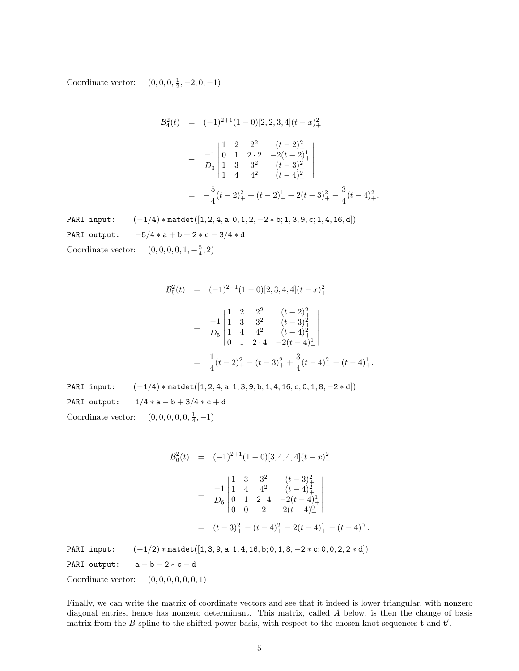Coordinate vector:  $(0, 0, 0, \frac{1}{2}, -2, 0, -1)$ 

$$
\mathcal{B}_4^2(t) = (-1)^{2+1} (1-0) [2, 2, 3, 4] (t-x)_+^2
$$
  
=  $\frac{-1}{D_3} \begin{vmatrix} 1 & 2 & 2^2 & (t-2)_+^2 \\ 0 & 1 & 2 \cdot 2 & -2(t-2)_+^1 \\ 1 & 3 & 3^2 & (t-3)_+^2 \\ 1 & 4 & 4^2 & (t-4)_+^2 \end{vmatrix}$   
=  $-\frac{5}{4} (t-2)_+^2 + (t-2)_+^1 + 2(t-3)_+^2 - \frac{3}{4} (t-4)_+^2.$ 

PARI input:  $(-1/4)$  \* matdet([1, 2, 4, a; 0, 1, 2, -2 \* b; 1, 3, 9, c; 1, 4, 16, d]) PARI output:  $-5/4 * a + b + 2 * c - 3/4 * d$ Coordinate vector:  $(0, 0, 0, 0, 1, -\frac{5}{4}, 2)$ 

$$
\mathcal{B}_5^2(t) = (-1)^{2+1} (1-0) [2, 3, 4, 4] (t-x)_+^2
$$
  
=  $\frac{-1}{D_5} \begin{vmatrix} 1 & 2 & 2^2 & (t-2)_+^2 \\ 1 & 3 & 3^2 & (t-3)_+^2 \\ 1 & 4 & 4^2 & (t-4)_+^2 \\ 0 & 1 & 2 \cdot 4 & -2(t-4)_+^1 \end{vmatrix}$   
=  $\frac{1}{4} (t-2)_+^2 - (t-3)_+^2 + \frac{3}{4} (t-4)_+^2 + (t-4)_+^1.$ 

PARI input:  $(-1/4) * \text{match}([1, 2, 4, a; 1, 3, 9, b; 1, 4, 16, c; 0, 1, 8, -2 * d])$ PARI output:  $1/4 * a - b + 3/4 * c + d$ Coordinate vector:  $(0, 0, 0, 0, 0, \frac{1}{4}, -1)$ 

$$
\mathcal{B}_6^2(t) = (-1)^{2+1}(1-0)[3, 4, 4, 4](t-x)_+^2
$$
  
\n
$$
= \frac{-1}{D_6} \begin{vmatrix} 1 & 3 & 3^2 & (t-3)_+^2 \\ 1 & 4 & 4^2 & (t-4)_+^2 \\ 0 & 1 & 2 \cdot 4 & -2(t-4)_+^1 \\ 0 & 0 & 2 & 2(t-4)_+^0 \end{vmatrix}
$$
  
\n
$$
= (t-3)_+^2 - (t-4)_+^2 - 2(t-4)_+^1 - (t-4)_+^0.
$$
  
\nPARI input:  $(-1/2) * \text{mated}([1, 3, 9, \text{a}; 1, 4, 16, \text{b}; 0, 1, 8, -2 * \text{c}; 0, 0, 2, 2 * \text{d}])$   
\nPARI output:  $\mathbf{a} - \mathbf{b} - 2 * \mathbf{c} - \mathbf{d}$   
\nCoordinate vector:  $(0, 0, 0, 0, 0, 0, 1)$ 

Finally, we can write the matrix of coordinate vectors and see that it indeed is lower triangular, with nonzero diagonal entries, hence has nonzero determinant. This matrix, called A below, is then the change of basis matrix from the B-spline to the shifted power basis, with respect to the chosen knot sequences  $t$  and  $t'$ .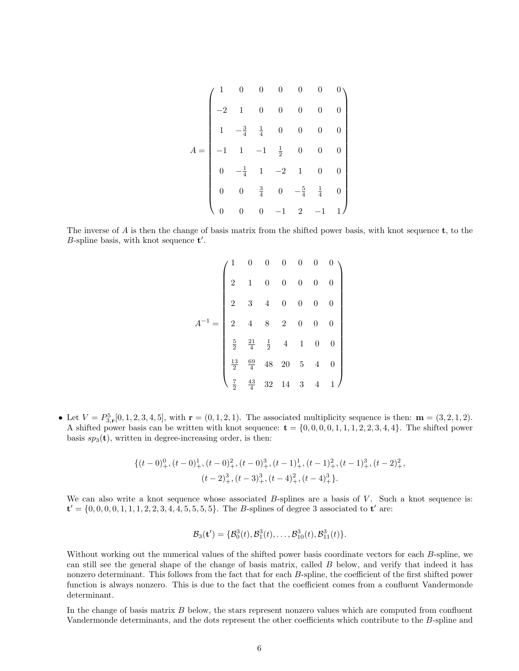$$
A = \begin{pmatrix} 1 & 0 & 0 & 0 & 0 & 0 & 0 \\ -2 & 1 & 0 & 0 & 0 & 0 & 0 \\ 1 & -\frac{3}{4} & \frac{1}{4} & 0 & 0 & 0 & 0 \\ -1 & 1 & -1 & \frac{1}{2} & 0 & 0 & 0 \\ 0 & -\frac{1}{4} & 1 & -2 & 1 & 0 & 0 \\ 0 & 0 & \frac{3}{4} & 0 & -\frac{5}{4} & \frac{1}{4} & 0 \\ 0 & 0 & 0 & -1 & 2 & -1 & 1 \end{pmatrix}
$$

The inverse of A is then the change of basis matrix from the shifted power basis, with knot sequence  $t$ , to the B-spline basis, with knot sequence  $t'$ .

|  |  |  | $\left. \begin{array}{cccccc} 1 & 0 & 0 & 0 & 0 & 0 & 0 & 0 \\[2mm] 2 & 1 & 0 & 0 & 0 & 0 & 0 & 0 \\[2mm] 2 & 3 & 4 & 0 & 0 & 0 & 0 & 0 \\[2mm] 2 & 4 & 8 & 2 & 0 & 0 & 0 & 0 \\[2mm] \frac{5}{2} & \frac{21}{4} & \frac{1}{2} & 4 & 1 & 0 & 0 & 0 \\[2mm] \frac{13}{2} & \frac{69}{4} & 48 & 20 & 5 & 4 & 0 & 0 \\[2mm] \frac{7}{2} & \frac{$ |
|--|--|--|------------------------------------------------------------------------------------------------------------------------------------------------------------------------------------------------------------------------------------------------------------------------------------------------------------------------------------------------|
|  |  |  |                                                                                                                                                                                                                                                                                                                                                |
|  |  |  |                                                                                                                                                                                                                                                                                                                                                |

• Let  $V = P_{3,r}^5[0, 1, 2, 3, 4, 5]$ , with  $\mathbf{r} = (0, 1, 2, 1)$ . The associated multiplicity sequence is then:  $\mathbf{m} = (3, 2, 1, 2)$ . A shifted power basis can be written with knot sequence:  $\mathbf{t} = \{0, 0, 0, 0, 1, 1, 1, 2, 2, 3, 4, 4\}$ . The shifted power basis  $sp_3(\mathbf{t})$ , written in degree-increasing order, is then:

$$
{(t-0)_+^0, (t-0)_+^1, (t-0)_+^2, (t-0)_+^3, (t-1)_+^1, (t-1)_+^2, (t-1)_+^3, (t-2)_+^2, (t-2)_+^3, (t-3)_+^3, (t-4)_+^2, (t-4)_+^3\}}.
$$

We can also write a knot sequence whose associated  $B$ -splines are a basis of  $V$ . Such a knot sequence is:  ${\bf t}' = \{0, 0, 0, 0, 1, 1, 1, 2, 2, 3, 4, 4, 5, 5, 5, 5\}.$  The *B*-splines of degree 3 associated to **t'** are:

$$
\mathcal{B}_3(\mathbf{t}') = \{ \mathcal{B}_0^3(t), \mathcal{B}_1^3(t), \dots, \mathcal{B}_{10}^3(t), \mathcal{B}_{11}^3(t) \}.
$$

Without working out the numerical values of the shifted power basis coordinate vectors for each B-spline, we can still see the general shape of the change of basis matrix, called B below, and verify that indeed it has nonzero determinant. This follows from the fact that for each B-spline, the coefficient of the first shifted power function is always nonzero. This is due to the fact that the coefficient comes from a confluent Vandermonde determinant.

In the change of basis matrix B below, the stars represent nonzero values which are computed from confluent Vandermonde determinants, and the dots represent the other coefficients which contribute to the B-spline and